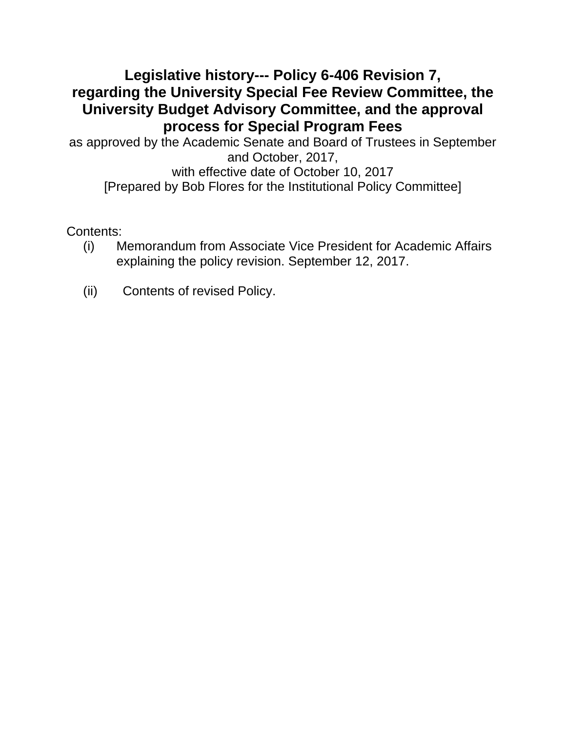# **Legislative history--- Policy 6-406 Revision 7, regarding the University Special Fee Review Committee, the University Budget Advisory Committee, and the approval process for Special Program Fees**

as approved by the Academic Senate and Board of Trustees in September and October, 2017, with effective date of October 10, 2017 [Prepared by Bob Flores for the Institutional Policy Committee]

Contents:

- (i) Memorandum from Associate Vice President for Academic Affairs explaining the policy revision. September 12, 2017.
- (ii) Contents of revised Policy.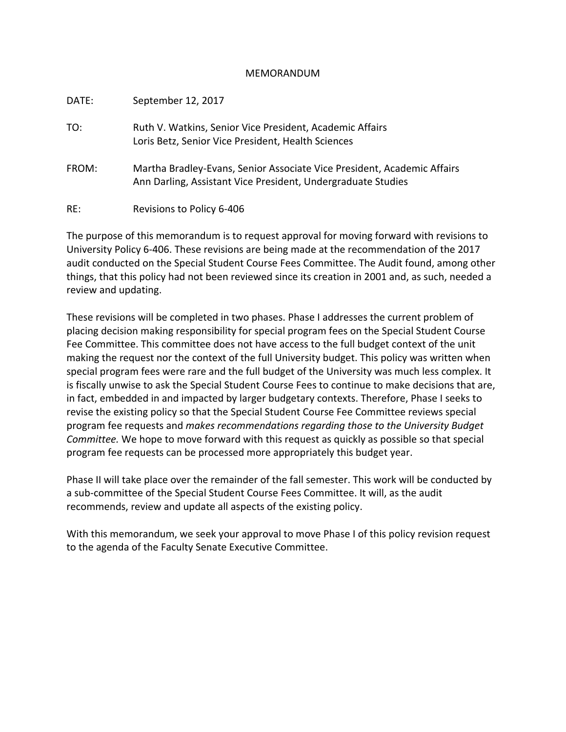## MEMORANDUM

| DATE: | September 12, 2017                                                                                                                      |
|-------|-----------------------------------------------------------------------------------------------------------------------------------------|
| TO:   | Ruth V. Watkins, Senior Vice President, Academic Affairs<br>Loris Betz, Senior Vice President, Health Sciences                          |
| FROM: | Martha Bradley-Evans, Senior Associate Vice President, Academic Affairs<br>Ann Darling, Assistant Vice President, Undergraduate Studies |
| RE:   | Revisions to Policy 6-406                                                                                                               |

The purpose of this memorandum is to request approval for moving forward with revisions to University Policy 6-406. These revisions are being made at the recommendation of the 2017 audit conducted on the Special Student Course Fees Committee. The Audit found, among other things, that this policy had not been reviewed since its creation in 2001 and, as such, needed a review and updating.

These revisions will be completed in two phases. Phase I addresses the current problem of placing decision making responsibility for special program fees on the Special Student Course Fee Committee. This committee does not have access to the full budget context of the unit making the request nor the context of the full University budget. This policy was written when special program fees were rare and the full budget of the University was much less complex. It is fiscally unwise to ask the Special Student Course Fees to continue to make decisions that are, in fact, embedded in and impacted by larger budgetary contexts. Therefore, Phase I seeks to revise the existing policy so that the Special Student Course Fee Committee reviews special program fee requests and *makes recommendations regarding those to the University Budget Committee.* We hope to move forward with this request as quickly as possible so that special program fee requests can be processed more appropriately this budget year.

Phase II will take place over the remainder of the fall semester. This work will be conducted by a sub-committee of the Special Student Course Fees Committee. It will, as the audit recommends, review and update all aspects of the existing policy.

With this memorandum, we seek your approval to move Phase I of this policy revision request to the agenda of the Faculty Senate Executive Committee.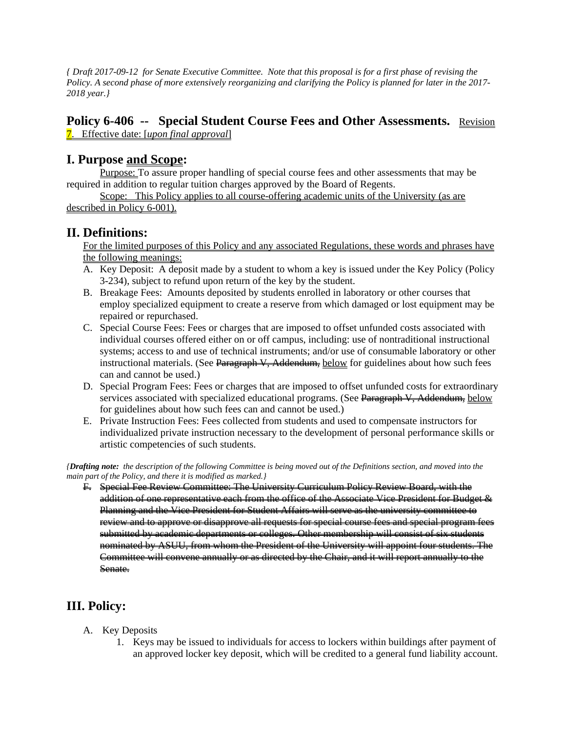*{ Draft 2017-09-12 for Senate Executive Committee. Note that this proposal is for a first phase of revising the Policy. A second phase of more extensively reorganizing and clarifying the Policy is planned for later in the 2017- 2018 year.}*

## **Policy 6-406 -- Special Student Course Fees and Other Assessments.** Revision 7. Effective date: [*upon final approval*]

## **I. Purpose and Scope:**

Purpose: To assure proper handling of special course fees and other assessments that may be required in addition to regular tuition charges approved by the Board of Regents.

Scope: This Policy applies to all course-offering academic units of the University (as are described in Policy 6-001).

## **II. Definitions:**

For the limited purposes of this Policy and any associated Regulations, these words and phrases have the following meanings:

- A. Key Deposit: A deposit made by a student to whom a key is issued under the Key Policy (Policy 3-234), subject to refund upon return of the key by the student.
- B. Breakage Fees: Amounts deposited by students enrolled in laboratory or other courses that employ specialized equipment to create a reserve from which damaged or lost equipment may be repaired or repurchased.
- C. Special Course Fees: Fees or charges that are imposed to offset unfunded costs associated with individual courses offered either on or off campus, including: use of nontraditional instructional systems; access to and use of technical instruments; and/or use of consumable laboratory or other instructional materials. (See Paragraph V, Addendum, below for guidelines about how such fees can and cannot be used.)
- D. Special Program Fees: Fees or charges that are imposed to offset unfunded costs for extraordinary services associated with specialized educational programs. (See Paragraph V, Addendum, below for guidelines about how such fees can and cannot be used.)
- E. Private Instruction Fees: Fees collected from students and used to compensate instructors for individualized private instruction necessary to the development of personal performance skills or artistic competencies of such students.

*{Drafting note: the description of the following Committee is being moved out of the Definitions section, and moved into the main part of the Policy, and there it is modified as marked.}*

F. Special Fee Review Committee: The University Curriculum Policy Review Board, with the addition of one representative each from the office of the Associate Vice President for Budget & Planning and the Vice President for Student Affairs will serve as the university committee to review and to approve or disapprove all requests for special course fees and special program fees submitted by academic departments or colleges. Other membership will consist of six students nominated by ASUU, from whom the President of the University will appoint four students. The Committee will convene annually or as directed by the Chair, and it will report annually to the Senate.

## **III. Policy:**

- A. Key Deposits
	- 1. Keys may be issued to individuals for access to lockers within buildings after payment of an approved locker key deposit, which will be credited to a general fund liability account.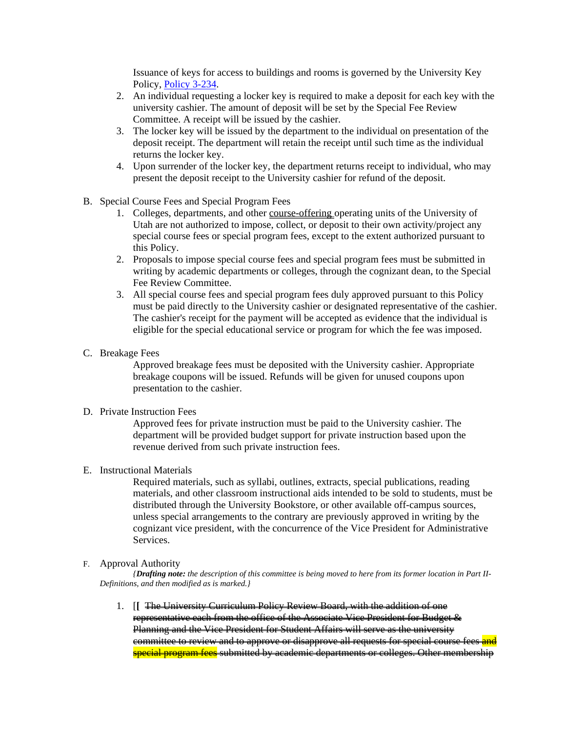Issuance of keys for access to buildings and rooms is governed by the University Key Policy, [Policy](http://regulations.utah.edu/administration/3-234.php) 3-234.

- 2. An individual requesting a locker key is required to make a deposit for each key with the university cashier. The amount of deposit will be set by the Special Fee Review Committee. A receipt will be issued by the cashier.
- 3. The locker key will be issued by the department to the individual on presentation of the deposit receipt. The department will retain the receipt until such time as the individual returns the locker key.
- 4. Upon surrender of the locker key, the department returns receipt to individual, who may present the deposit receipt to the University cashier for refund of the deposit.
- B. Special Course Fees and Special Program Fees
	- 1. Colleges, departments, and other course-offering operating units of the University of Utah are not authorized to impose, collect, or deposit to their own activity/project any special course fees or special program fees, except to the extent authorized pursuant to this Policy.
	- 2. Proposals to impose special course fees and special program fees must be submitted in writing by academic departments or colleges, through the cognizant dean, to the Special Fee Review Committee.
	- 3. All special course fees and special program fees duly approved pursuant to this Policy must be paid directly to the University cashier or designated representative of the cashier. The cashier's receipt for the payment will be accepted as evidence that the individual is eligible for the special educational service or program for which the fee was imposed.
- C. Breakage Fees

Approved breakage fees must be deposited with the University cashier. Appropriate breakage coupons will be issued. Refunds will be given for unused coupons upon presentation to the cashier.

### D. Private Instruction Fees

Approved fees for private instruction must be paid to the University cashier. The department will be provided budget support for private instruction based upon the revenue derived from such private instruction fees.

## E. Instructional Materials

Required materials, such as syllabi, outlines, extracts, special publications, reading materials, and other classroom instructional aids intended to be sold to students, must be distributed through the University Bookstore, or other available off-campus sources, unless special arrangements to the contrary are previously approved in writing by the cognizant vice president, with the concurrence of the Vice President for Administrative Services.

### F. Approval Authority

*{Drafting note: the description of this committee is being moved to here from its former location in Part II-Definitions, and then modified as is marked.}*

1. [**[** The University Curriculum Policy Review Board, with the addition of one representative each from the office of the Associate Vice President for Budget & Planning and the Vice President for Student Affairs will serve as the university committee to review and to approve or disapprove all requests for special course fees and special program fees submitted by academic departments or colleges. Other membership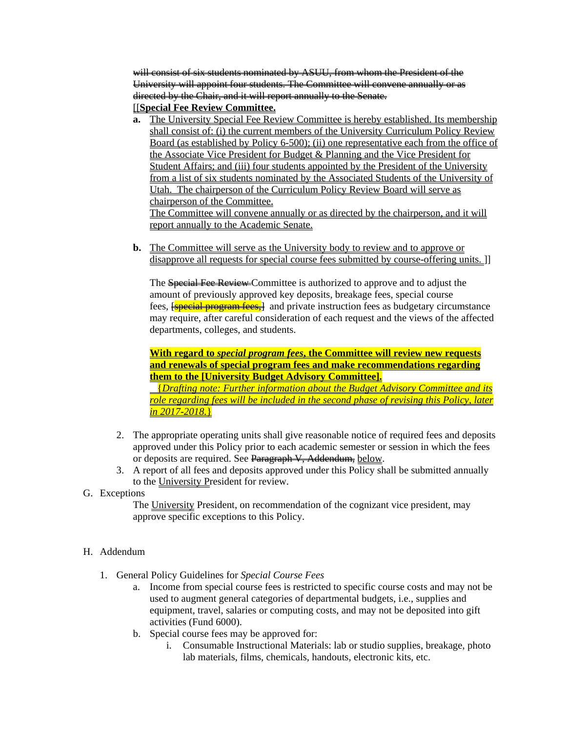will consist of six students nominated by ASUU, from whom the President of the University will appoint four students. The Committee will convene annually or as directed by the Chair, and it will report annually to the Senate. [[**Special Fee Review Committee.**

- **a.** The University Special Fee Review Committee is hereby established. Its membership shall consist of: (i) the current members of the University Curriculum Policy Review Board (as established by Policy 6-500); (ii) one representative each from the office of the Associate Vice President for Budget & Planning and the Vice President for Student Affairs; and (iii) four students appointed by the President of the University from a list of six students nominated by the Associated Students of the University of Utah. The chairperson of the Curriculum Policy Review Board will serve as chairperson of the Committee. The Committee will convene annually or as directed by the chairperson, and it will report annually to the Academic Senate.
- **b.** The Committee will serve as the University body to review and to approve or disapprove all requests for special course fees submitted by course-offering units. [1]

The Special Fee Review Committee is authorized to approve and to adjust the amount of previously approved key deposits, breakage fees, special course fees, **[special program fees,**] and private instruction fees as budgetary circumstance may require, after careful consideration of each request and the views of the affected departments, colleges, and students.

**With regard to** *special program fees***, the Committee will review new requests and renewals of special program fees and make recommendations regarding them to the [University Budget Advisory Committee].**

{*Drafting note: Further information about the Budget Advisory Committee and its role regarding fees will be included in the second phase of revising this Policy, later in 2017-2018.*}

- 2. The appropriate operating units shall give reasonable notice of required fees and deposits approved under this Policy prior to each academic semester or session in which the fees or deposits are required. See Paragraph V, Addendum, below.
- 3. A report of all fees and deposits approved under this Policy shall be submitted annually to the University President for review.

## G. Exceptions

The University President, on recommendation of the cognizant vice president, may approve specific exceptions to this Policy.

## H. Addendum

- 1. General Policy Guidelines for *Special Course Fees* 
	- a. Income from special course fees is restricted to specific course costs and may not be used to augment general categories of departmental budgets, i.e., supplies and equipment, travel, salaries or computing costs, and may not be deposited into gift activities (Fund 6000).
	- b. Special course fees may be approved for:
		- i. Consumable Instructional Materials: lab or studio supplies, breakage, photo lab materials, films, chemicals, handouts, electronic kits, etc.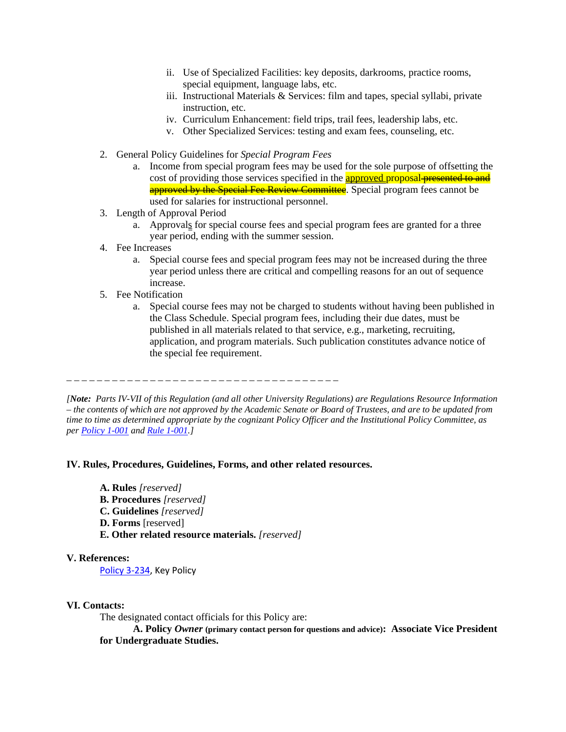- ii. Use of Specialized Facilities: key deposits, darkrooms, practice rooms, special equipment, language labs, etc.
- iii. Instructional Materials & Services: film and tapes, special syllabi, private instruction, etc.
- iv. Curriculum Enhancement: field trips, trail fees, leadership labs, etc.
- v. Other Specialized Services: testing and exam fees, counseling, etc.
- 2. General Policy Guidelines for *Special Program Fees*
	- a. Income from special program fees may be used for the sole purpose of offsetting the cost of providing those services specified in the **approved proposal presented to and** approved by the Special Fee Review Committee. Special program fees cannot be used for salaries for instructional personnel.
- 3. Length of Approval Period
	- a. Approvals for special course fees and special program fees are granted for a three year period, ending with the summer session.
- 4. Fee Increases
	- a. Special course fees and special program fees may not be increased during the three year period unless there are critical and compelling reasons for an out of sequence increase.
- 5. Fee Notification
	- a. Special course fees may not be charged to students without having been published in the Class Schedule. Special program fees, including their due dates, must be published in all materials related to that service, e.g., marketing, recruiting, application, and program materials. Such publication constitutes advance notice of the special fee requirement.

\_ \_ \_ \_ \_ \_ \_ \_ \_ \_ \_ \_ \_ \_ \_ \_ \_ \_ \_ \_ \_ \_ \_ \_ \_ \_ \_ \_ \_ \_ \_ \_ \_ \_ \_ \_

*[Note: Parts IV-VII of this Regulation (and all other University Regulations) are Regulations Resource Information – the contents of which are not approved by the Academic Senate or Board of Trustees, and are to be updated from time to time as determined appropriate by the cognizant Policy Officer and the Institutional Policy Committee, as per [Policy 1-001](http://www.regulations.utah.edu/general/1-001.html) and [Rule 1-001.\]](http://www.regulations.utah.edu/general/rules/R1-001.html)*

### **IV. Rules, Procedures, Guidelines, Forms, and other related resources.**

- **A. Rules** *[reserved]*
- **B. Procedures** *[reserved]*
- **C. Guidelines** *[reserved]*
- **D. Forms** [reserved]
- **E. Other related resource materials.** *[reserved]*

### **V. References:**

[Policy 3-234,](http://regulations.utah.edu/administration/3-234.php) Key Policy

#### **VI. Contacts:**

The designated contact officials for this Policy are:

**A. Policy** *Owner* **(primary contact person for questions and advice): Associate Vice President for Undergraduate Studies.**